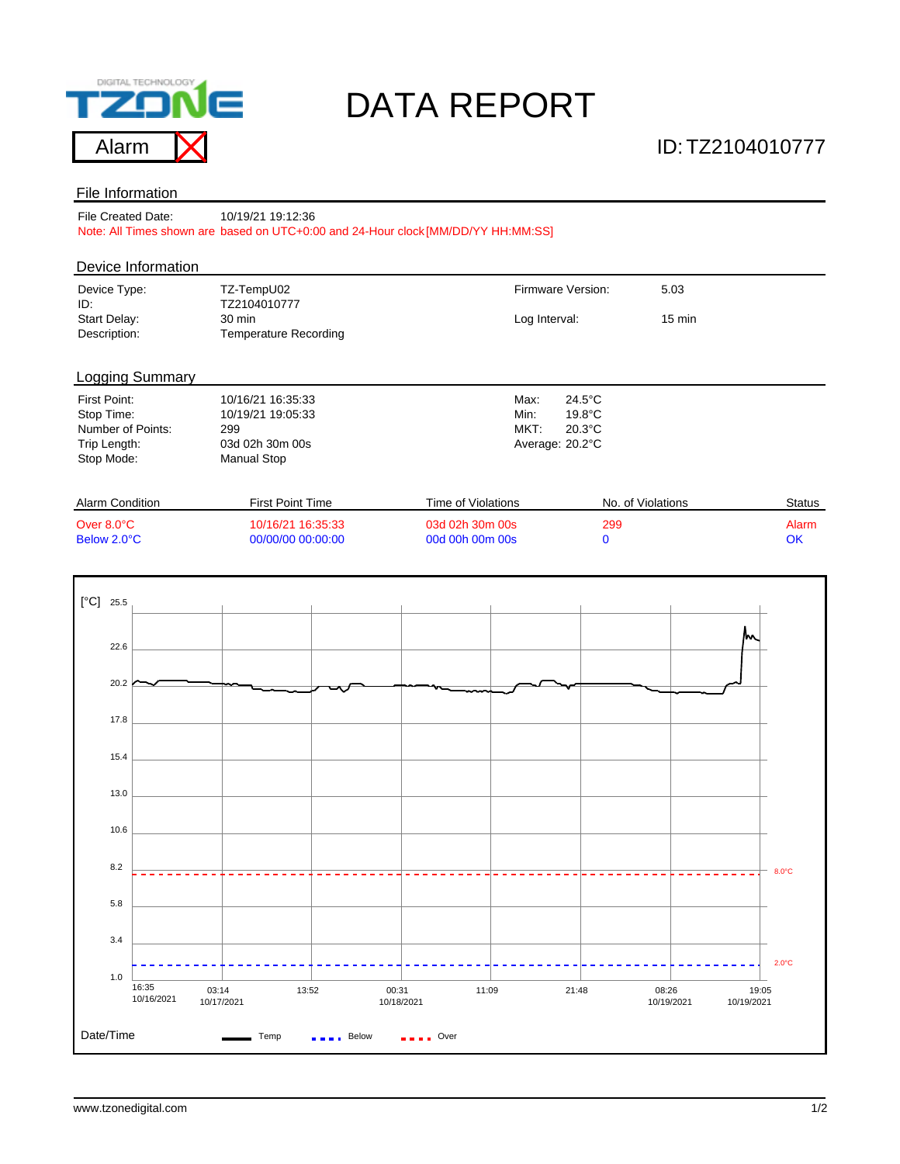

# DATA REPORT

#### File Information

File Created Date: Note: All Times shown are based on UTC+0:00 and 24-Hour clock [MM/DD/YY HH:MM:SS] 10/19/21 19:12:36

#### Device Information

| Device Type:<br>ID:          | TZ-TempU02<br>TZ2104010777      | Firmware Version: | 5.03             |  |  |
|------------------------------|---------------------------------|-------------------|------------------|--|--|
| Start Delay:<br>Description: | 30 min<br>Temperature Recording | Log Interval:     | $15 \text{ min}$ |  |  |

### Logging Summary

| First Point:      | 10/16/21 16:35:33 | Max:            | $24.5^{\circ}$ C |
|-------------------|-------------------|-----------------|------------------|
| Stop Time:        | 10/19/21 19:05:33 | Min:            | $19.8^{\circ}$ C |
| Number of Points: | 299               | MKT:            | $20.3^{\circ}$ C |
| Trip Length:      | 03d 02h 30m 00s   | Average: 20.2°C |                  |
| Stop Mode:        | Manual Stop       |                 |                  |
|                   |                   |                 |                  |

| Alarm Condition | First Point Time  | Time of Violations | No. of Violations | Status |
|-----------------|-------------------|--------------------|-------------------|--------|
| Over 8.0°C      | 10/16/21 16:35:33 | 03d 02h 30m 00s    | 299               | Alarm  |
| Below 2.0°C     | 00/00/00 00:00:00 | 00d 00h 00m 00s    |                   | OK     |